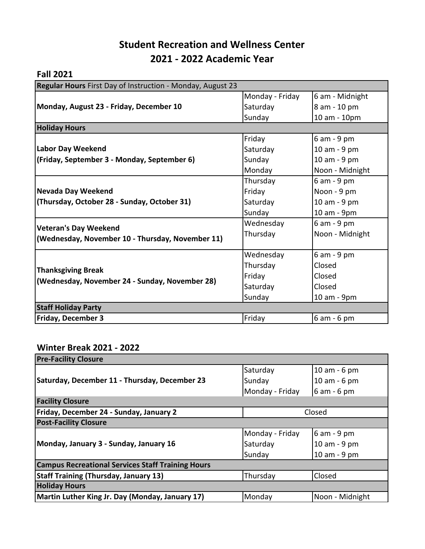# **Student Recreation and Wellness Center 2021 - 2022 Academic Year**

## **Fall 2021**

| Regular Hours First Day of Instruction - Monday, August 23                  |                 |                 |  |  |
|-----------------------------------------------------------------------------|-----------------|-----------------|--|--|
| Monday, August 23 - Friday, December 10                                     | Monday - Friday | 6 am - Midnight |  |  |
|                                                                             | Saturday        | 8 am - 10 pm    |  |  |
|                                                                             | Sunday          | 10 am - 10pm    |  |  |
| <b>Holiday Hours</b>                                                        |                 |                 |  |  |
|                                                                             | Friday          | 6 am - 9 pm     |  |  |
| <b>Labor Day Weekend</b>                                                    | Saturday        | 10 am - 9 pm    |  |  |
| (Friday, September 3 - Monday, September 6)                                 | Sunday          | 10 am - 9 pm    |  |  |
|                                                                             | Monday          | Noon - Midnight |  |  |
|                                                                             | Thursday        | 6 am - 9 pm     |  |  |
| <b>Nevada Day Weekend</b><br>(Thursday, October 28 - Sunday, October 31)    | Friday          | Noon - 9 pm     |  |  |
|                                                                             | Saturday        | 10 am - 9 pm    |  |  |
|                                                                             | Sunday          | 10 am - 9pm     |  |  |
| <b>Veteran's Day Weekend</b>                                                | Wednesday       | 6 am - 9 pm     |  |  |
| (Wednesday, November 10 - Thursday, November 11)                            | Thursday        | Noon - Midnight |  |  |
|                                                                             |                 |                 |  |  |
| <b>Thanksgiving Break</b><br>(Wednesday, November 24 - Sunday, November 28) | Wednesday       | 6 am - 9 pm     |  |  |
|                                                                             | Thursday        | Closed          |  |  |
|                                                                             | Friday          | Closed          |  |  |
|                                                                             | Saturday        | Closed          |  |  |
|                                                                             | Sunday          | 10 am - 9pm     |  |  |
| <b>Staff Holiday Party</b>                                                  |                 |                 |  |  |
| <b>Friday, December 3</b>                                                   | Friday          | 6 am - 6 pm     |  |  |

## **Winter Break 2021 - 2022**

| <b>Pre-Facility Closure</b>                              |                 |                 |  |  |
|----------------------------------------------------------|-----------------|-----------------|--|--|
| Saturday, December 11 - Thursday, December 23            | Saturday        | 10 am - 6 pm    |  |  |
|                                                          | Sunday          | 10 am - 6 pm    |  |  |
|                                                          | Monday - Friday | 6 am - 6 pm     |  |  |
| <b>Facility Closure</b>                                  |                 |                 |  |  |
| Friday, December 24 - Sunday, January 2                  | Closed          |                 |  |  |
| <b>Post-Facility Closure</b>                             |                 |                 |  |  |
| Monday, January 3 - Sunday, January 16                   | Monday - Friday | $6$ am - 9 pm   |  |  |
|                                                          | Saturday        | 10 am - 9 pm    |  |  |
|                                                          | Sunday          | 10 am - 9 pm    |  |  |
| <b>Campus Recreational Services Staff Training Hours</b> |                 |                 |  |  |
| <b>Staff Training (Thursday, January 13)</b>             | Thursday        | Closed          |  |  |
| <b>Holiday Hours</b>                                     |                 |                 |  |  |
| Martin Luther King Jr. Day (Monday, January 17)          | Monday          | Noon - Midnight |  |  |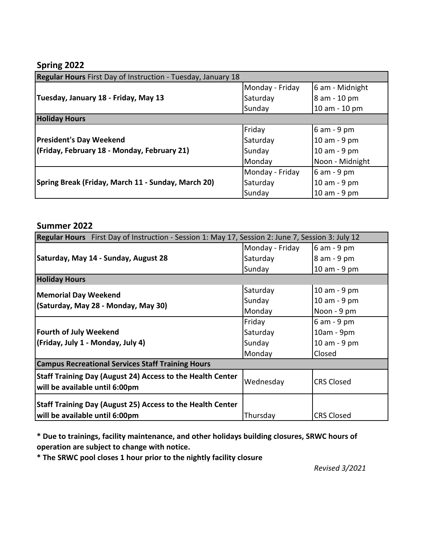### **Spring 2022**

| Regular Hours First Day of Instruction - Tuesday, January 18 |                 |                 |
|--------------------------------------------------------------|-----------------|-----------------|
|                                                              | Monday - Friday | 6 am - Midnight |
| Tuesday, January 18 - Friday, May 13                         | Saturday        | 8 am - 10 pm    |
|                                                              | Sunday          | 10 am - 10 pm   |
| <b>Holiday Hours</b>                                         |                 |                 |
|                                                              | Friday          | 6 am - 9 pm     |
| <b>President's Day Weekend</b>                               | Saturday        | 10 am - 9 pm    |
| (Friday, February 18 - Monday, February 21)                  | Sunday          | 10 am - 9 pm    |
|                                                              | Monday          | Noon - Midnight |
|                                                              | Monday - Friday | $6$ am - 9 pm   |
| Spring Break (Friday, March 11 - Sunday, March 20)           | Saturday        | 10 am - 9 pm    |
|                                                              | Sunday          | 10 am - 9 pm    |

### **Summer 2022**

| Regular Hours First Day of Instruction - Session 1: May 17, Session 2: June 7, Session 3: July 12 |                 |                   |  |  |
|---------------------------------------------------------------------------------------------------|-----------------|-------------------|--|--|
| Saturday, May 14 - Sunday, August 28                                                              | Monday - Friday | 6 am - 9 pm       |  |  |
|                                                                                                   | Saturday        | 8 am - 9 pm       |  |  |
|                                                                                                   | Sunday          | 10 am - 9 pm      |  |  |
| <b>Holiday Hours</b>                                                                              |                 |                   |  |  |
| <b>Memorial Day Weekend</b>                                                                       | Saturday        | 10 am - 9 pm      |  |  |
| (Saturday, May 28 - Monday, May 30)                                                               | Sunday          | 10 am - 9 pm      |  |  |
|                                                                                                   | Monday          | Noon - 9 pm       |  |  |
|                                                                                                   | Friday          | 6 am - 9 pm       |  |  |
| Fourth of July Weekend                                                                            | Saturday        | 10am - 9pm        |  |  |
| (Friday, July 1 - Monday, July 4)                                                                 | Sunday          | 10 am - 9 pm      |  |  |
|                                                                                                   | Monday          | Closed            |  |  |
| <b>Campus Recreational Services Staff Training Hours</b>                                          |                 |                   |  |  |
| Staff Training Day (August 24) Access to the Health Center<br>will be available until 6:00pm      | Wednesday       | <b>CRS Closed</b> |  |  |
| Staff Training Day (August 25) Access to the Health Center<br>will be available until 6:00pm      | Thursday        | <b>CRS Closed</b> |  |  |

**\* Due to trainings, facility maintenance, and other holidays building closures, SRWC hours of operation are subject to change with notice.**

**\* The SRWC pool closes 1 hour prior to the nightly facility closure**

*Revised 3/2021*